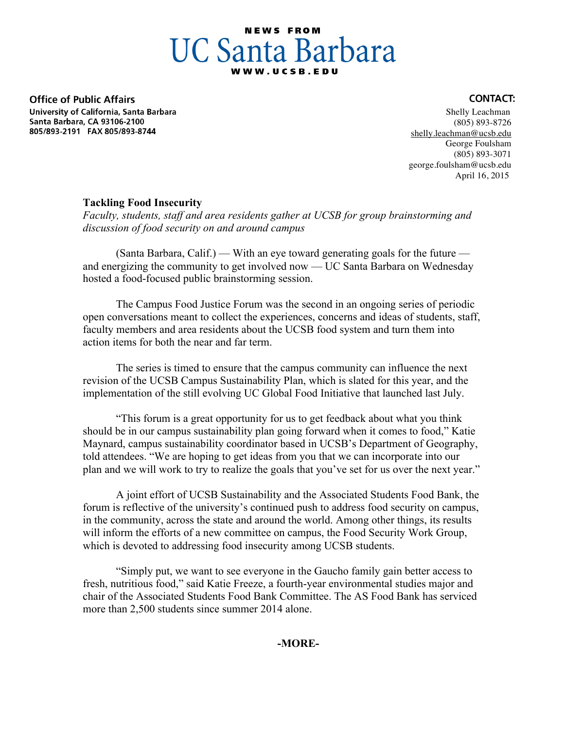## **NEWS FROM UC Santa Barbara**

**Office of Public Affairs** University of California, Santa Barbara Santa Barbara, CA 93106-2100 805/893-2191 FAX 805/893-8744

## **CONTACT:**

 Shelly Leachman (805) 893-8726 shelly.leachman@ucsb.edu George Foulsham (805) 893-3071 george.foulsham@ucsb.edu April 16, 2015

## **Tackling Food Insecurity**

*Faculty, students, staff and area residents gather at UCSB for group brainstorming and discussion of food security on and around campus* 

(Santa Barbara, Calif.) — With an eye toward generating goals for the future and energizing the community to get involved now — UC Santa Barbara on Wednesday hosted a food-focused public brainstorming session.

The Campus Food Justice Forum was the second in an ongoing series of periodic open conversations meant to collect the experiences, concerns and ideas of students, staff, faculty members and area residents about the UCSB food system and turn them into action items for both the near and far term.

The series is timed to ensure that the campus community can influence the next revision of the UCSB Campus Sustainability Plan, which is slated for this year, and the implementation of the still evolving UC Global Food Initiative that launched last July.

"This forum is a great opportunity for us to get feedback about what you think should be in our campus sustainability plan going forward when it comes to food," Katie Maynard, campus sustainability coordinator based in UCSB's Department of Geography, told attendees. "We are hoping to get ideas from you that we can incorporate into our plan and we will work to try to realize the goals that you've set for us over the next year."

A joint effort of UCSB Sustainability and the Associated Students Food Bank, the forum is reflective of the university's continued push to address food security on campus, in the community, across the state and around the world. Among other things, its results will inform the efforts of a new committee on campus, the Food Security Work Group, which is devoted to addressing food insecurity among UCSB students.

"Simply put, we want to see everyone in the Gaucho family gain better access to fresh, nutritious food," said Katie Freeze, a fourth-year environmental studies major and chair of the Associated Students Food Bank Committee. The AS Food Bank has serviced more than 2,500 students since summer 2014 alone.

**-MORE-**